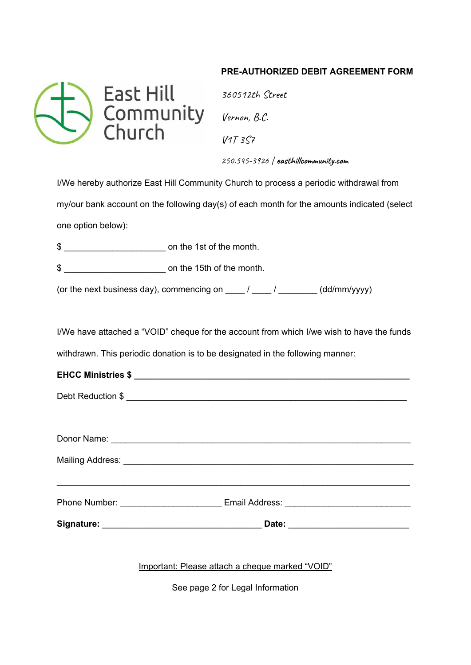## **PRE-AUTHORIZED DEBIT AGREEMENT FORM**



 $V1T 3S7$ 250.545-3926 | **easthillcommunity.com**

I/We hereby authorize East Hill Community Church to process a periodic withdrawal from my/our bank account on the following day(s) of each month for the amounts indicated (select one option below):

\$ \_\_\_\_\_\_\_\_\_\_\_\_\_\_\_\_\_\_\_\_\_ on the 1st of the month.

\$ \_\_\_\_\_\_\_\_\_\_\_\_\_\_\_\_\_\_\_\_\_ on the 15th of the month.

(or the next business day), commencing on  $\frac{1}{\sqrt{2}}$  /  $\frac{1}{\sqrt{2}}$  (dd/mm/yyyy)

I/We have attached a "VOID" cheque for the account from which I/we wish to have the funds withdrawn. This periodic donation is to be designated in the following manner:

| Phone Number: |  | Email Address: |  |
|---------------|--|----------------|--|
|               |  |                |  |

**Signature:** \_\_\_\_\_\_\_\_\_\_\_\_\_\_\_\_\_\_\_\_\_\_\_\_\_\_\_\_\_\_\_\_\_ **Date:** \_\_\_\_\_\_\_\_\_\_\_\_\_\_\_\_\_\_\_\_\_\_\_\_\_

Important: Please attach a cheque marked "VOID"

See page 2 for Legal Information